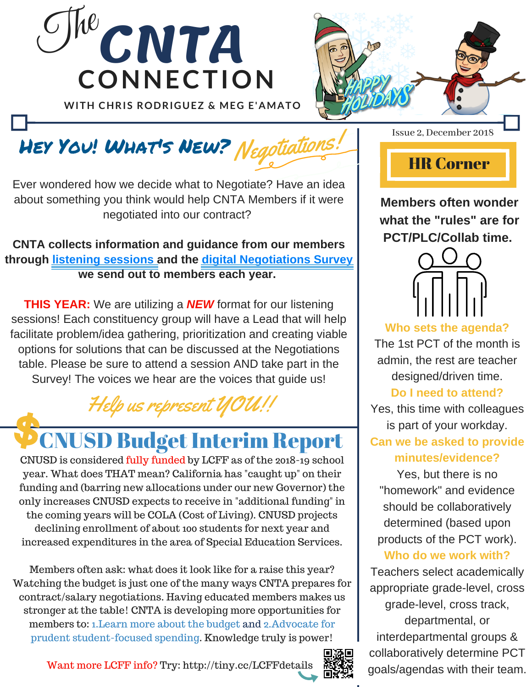



## Hey You! What's New? Negotiations!

Ever wondered how we decide what to Negotiate? Have an idea about something you think would help CNTA Members if it were negotiated into our contract?

### **CNTA collects information and guidance from our members through listening sessions and the digital Negotiations Survey we send out to members each year.**

**THIS YEAR:** We are utilizing a *NEW* format for our listening sessions! Each constituency group will have a Lead that will help facilitate problem/idea gathering, prioritization and creating viable options for solutions that can be discussed at the Negotiations table. Please be sure to attend a session AND take part in the Survey! The voices we hear are the voices that guide us!

Help us represent  $\mathcal{U}$ C

# **CNUSD Budget Interim Report**

CNUSD is considered fully funded by LCFF as of the 2018-19 school year. What does THAT mean? California has "caught up" on their funding and (barring new allocations under our new Governor) the only increases CNUSD expects to receive in "additional funding" in the coming years will be COLA (Cost of Living). CNUSD projects declining enrollment of about 100 students for next year and increased expenditures in the area of Special Education Services.

Members often ask: what does it look like for a raise this year? Watching the budget is just one of the many ways CNTA prepares for contract/salary negotiations. Having educated members makes us stronger at the table! CNTA is developing more opportunities for members to: 1.Learn more about the budget and 2.Advocate for prudent student-focused spending. Knowledge truly is power!

Want more LCFF info? Try: http://tiny.cc/LCFFdetails



Issue 2, December 2018

# HR Corner

**Members often wonder what the "rules" are for PCT/PLC/Collab time.**



**Who sets the agenda?** The 1st PCT of the month is admin, the rest are teacher designed/driven time.

### **Do I need to attend?**

Yes, this time with colleagues is part of your workday.

**Can we be asked to provide minutes/evidence?**

Yes, but there is no "homework" and evidence should be collaboratively determined (based upon products of the PCT work).

### **Who do we work with?**

Teachers select academically appropriate grade-level, cross grade-level, cross track, departmental, or interdepartmental groups & collaboratively determine PCT goals/agendas with their team.